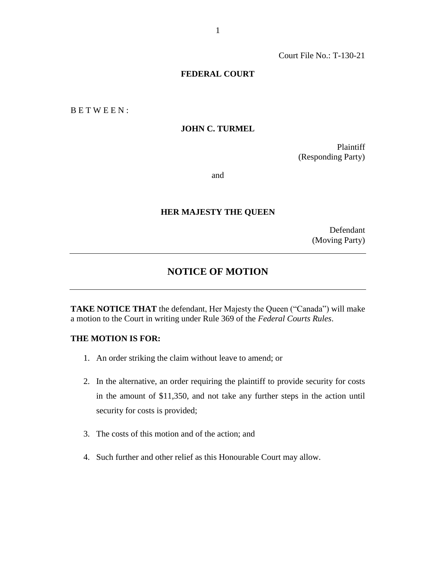Court File No.: T-130-21

#### **FEDERAL COURT**

B E T W E E N :

#### **JOHN C. TURMEL**

Plaintiff (Responding Party)

and

#### **HER MAJESTY THE QUEEN**

Defendant (Moving Party)

# **NOTICE OF MOTION**

**TAKE NOTICE THAT** the defendant, Her Majesty the Queen ("Canada") will make a motion to the Court in writing under Rule 369 of the *Federal Courts Rules*.

# **THE MOTION IS FOR:**

- 1. An order striking the claim without leave to amend; or
- 2. In the alternative, an order requiring the plaintiff to provide security for costs in the amount of \$11,350, and not take any further steps in the action until security for costs is provided;
- 3. The costs of this motion and of the action; and
- 4. Such further and other relief as this Honourable Court may allow.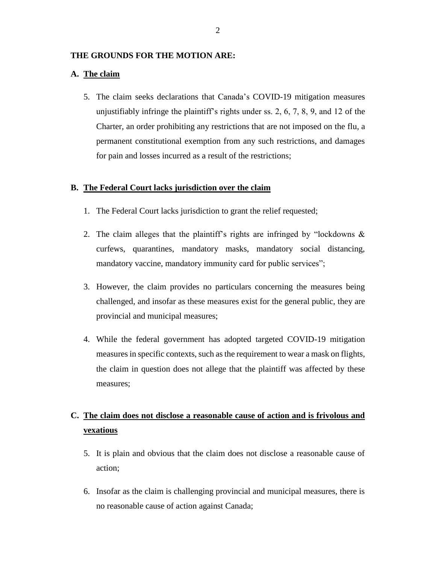## **THE GROUNDS FOR THE MOTION ARE:**

## **A. The claim**

5. The claim seeks declarations that Canada's COVID-19 mitigation measures unjustifiably infringe the plaintiff's rights under ss. 2, 6, 7, 8, 9, and 12 of the Charter, an order prohibiting any restrictions that are not imposed on the flu, a permanent constitutional exemption from any such restrictions, and damages for pain and losses incurred as a result of the restrictions;

#### **B. The Federal Court lacks jurisdiction over the claim**

- 1. The Federal Court lacks jurisdiction to grant the relief requested;
- 2. The claim alleges that the plaintiff's rights are infringed by "lockdowns & curfews, quarantines, mandatory masks, mandatory social distancing, mandatory vaccine, mandatory immunity card for public services";
- 3. However, the claim provides no particulars concerning the measures being challenged, and insofar as these measures exist for the general public, they are provincial and municipal measures;
- 4. While the federal government has adopted targeted COVID-19 mitigation measures in specific contexts, such as the requirement to wear a mask on flights, the claim in question does not allege that the plaintiff was affected by these measures;

# **C. The claim does not disclose a reasonable cause of action and is frivolous and vexatious**

- 5. It is plain and obvious that the claim does not disclose a reasonable cause of action;
- 6. Insofar as the claim is challenging provincial and municipal measures, there is no reasonable cause of action against Canada;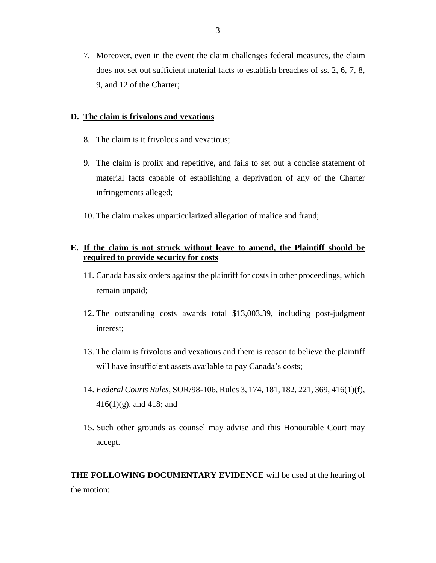7. Moreover, even in the event the claim challenges federal measures, the claim does not set out sufficient material facts to establish breaches of ss. 2, 6, 7, 8, 9, and 12 of the Charter;

## **D. The claim is frivolous and vexatious**

- 8. The claim is it frivolous and vexatious;
- 9. The claim is prolix and repetitive, and fails to set out a concise statement of material facts capable of establishing a deprivation of any of the Charter infringements alleged;
- 10. The claim makes unparticularized allegation of malice and fraud;

# **E. If the claim is not struck without leave to amend, the Plaintiff should be required to provide security for costs**

- 11. Canada has six orders against the plaintiff for costs in other proceedings, which remain unpaid;
- 12. The outstanding costs awards total \$13,003.39, including post-judgment interest;
- 13. The claim is frivolous and vexatious and there is reason to believe the plaintiff will have insufficient assets available to pay Canada's costs;
- 14. *Federal Courts Rules*, SOR/98-106, Rules 3, 174, 181, 182, 221, 369, 416(1)(f), 416(1)(g), and 418; and
- 15. Such other grounds as counsel may advise and this Honourable Court may accept.

**THE FOLLOWING DOCUMENTARY EVIDENCE** will be used at the hearing of the motion: